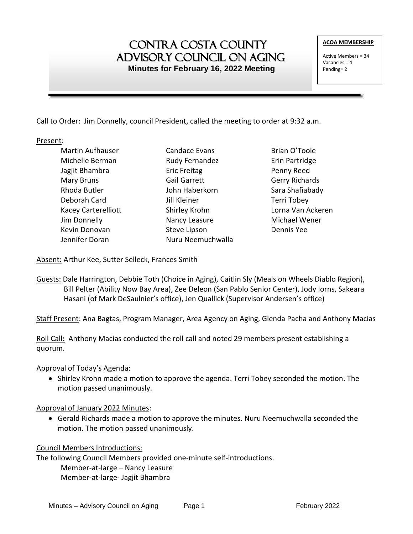# Contra Costa County ADVISORY COUNCIL ON AGING  **Minutes for February 16, 2022 Meeting**

Active Members = 34 Vacancies = 4 Pending= 2

Call to Order: Jim Donnelly, council President, called the meeting to order at 9:32 a.m.

Present:

Martin Aufhauser Michelle Berman Jagjit Bhambra Mary Bruns Rhoda Butler Deborah Card Kacey Carterelliott Jim Donnelly Kevin Donovan Jennifer Doran

- Candace Evans Rudy Fernandez Eric Freitag Gail Garrett John Haberkorn Jill Kleiner Shirley Krohn Nancy Leasure Steve Lipson Nuru Neemuchwalla
- Brian O'Toole Erin Partridge Penny Reed Gerry Richards Sara Shafiabady Terri Tobey Lorna Van Ackeren Michael Wener Dennis Yee

Absent: Arthur Kee, Sutter Selleck, Frances Smith

Guests: Dale Harrington, Debbie Toth (Choice in Aging), Caitlin Sly (Meals on Wheels Diablo Region), Bill Pelter (Ability Now Bay Area), Zee Deleon (San Pablo Senior Center), Jody Iorns, Sakeara Hasani (of Mark DeSaulnier's office), Jen Quallick (Supervisor Andersen's office)

Staff Present: Ana Bagtas, Program Manager, Area Agency on Aging, Glenda Pacha and Anthony Macias

Roll Call**:** Anthony Macias conducted the roll call and noted 29 members present establishing a quorum.

Approval of Today's Agenda:

• Shirley Krohn made a motion to approve the agenda. Terri Tobey seconded the motion. The motion passed unanimously.

Approval of January 2022 Minutes:

 Gerald Richards made a motion to approve the minutes. Nuru Neemuchwalla seconded the motion. The motion passed unanimously.

Council Members Introductions:

The following Council Members provided one-minute self-introductions. Member-at-large – Nancy Leasure Member-at-large- Jagjit Bhambra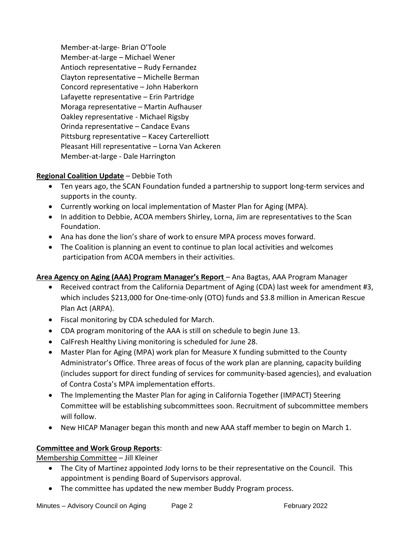Member-at-large- Brian O'Toole Member-at-large – Michael Wener Antioch representative – Rudy Fernandez Clayton representative – Michelle Berman Concord representative – John Haberkorn Lafayette representative – Erin Partridge Moraga representative – Martin Aufhauser Oakley representative - Michael Rigsby Orinda representative – Candace Evans Pittsburg representative – Kacey Carterelliott Pleasant Hill representative – Lorna Van Ackeren Member-at-large - Dale Harrington

# **Regional Coalition Update** – Debbie Toth

- Ten years ago, the SCAN Foundation funded a partnership to support long-term services and supports in the county.
- Currently working on local implementation of Master Plan for Aging (MPA).
- In addition to Debbie, ACOA members Shirley, Lorna, Jim are representatives to the Scan Foundation.
- Ana has done the lion's share of work to ensure MPA process moves forward.
- The Coalition is planning an event to continue to plan local activities and welcomes participation from ACOA members in their activities.

# **Area Agency on Aging (AAA) Program Manager's Report** – Ana Bagtas, AAA Program Manager

- Received contract from the California Department of Aging (CDA) last week for amendment #3, which includes \$213,000 for One-time-only (OTO) funds and \$3.8 million in American Rescue Plan Act (ARPA).
- Fiscal monitoring by CDA scheduled for March.
- CDA program monitoring of the AAA is still on schedule to begin June 13.
- CalFresh Healthy Living monitoring is scheduled for June 28.
- Master Plan for Aging (MPA) work plan for Measure X funding submitted to the County Administrator's Office. Three areas of focus of the work plan are planning, capacity building (includes support for direct funding of services for community-based agencies), and evaluation of Contra Costa's MPA implementation efforts.
- The Implementing the Master Plan for aging in California Together (IMPACT) Steering Committee will be establishing subcommittees soon. Recruitment of subcommittee members will follow.
- New HICAP Manager began this month and new AAA staff member to begin on March 1.

# **Committee and Work Group Reports**:

Membership Committee – Jill Kleiner

- The City of Martinez appointed Jody Iorns to be their representative on the Council. This appointment is pending Board of Supervisors approval.
- The committee has updated the new member Buddy Program process.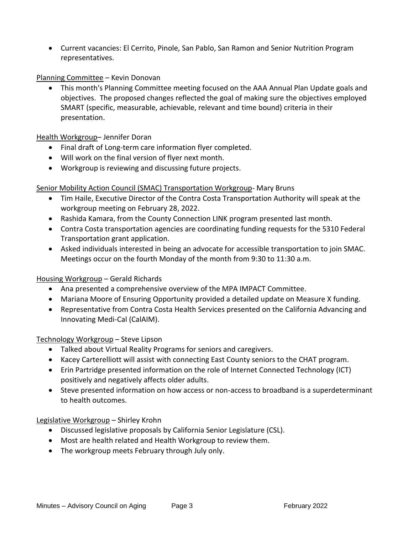Current vacancies: El Cerrito, Pinole, San Pablo, San Ramon and Senior Nutrition Program representatives.

#### Planning Committee – Kevin Donovan

 This month's Planning Committee meeting focused on the AAA Annual Plan Update goals and objectives. The proposed changes reflected the goal of making sure the objectives employed SMART (specific, measurable, achievable, relevant and time bound) criteria in their presentation.

#### Health Workgroup– Jennifer Doran

- Final draft of Long-term care information flyer completed.
- Will work on the final version of flyer next month.
- Workgroup is reviewing and discussing future projects.

#### Senior Mobility Action Council (SMAC) Transportation Workgroup- Mary Bruns

- Tim Haile, Executive Director of the Contra Costa Transportation Authority will speak at the workgroup meeting on February 28, 2022.
- Rashida Kamara, from the County Connection LINK program presented last month.
- Contra Costa transportation agencies are coordinating funding requests for the 5310 Federal Transportation grant application.
- Asked individuals interested in being an advocate for accessible transportation to join SMAC. Meetings occur on the fourth Monday of the month from 9:30 to 11:30 a.m.

#### Housing Workgroup – Gerald Richards

- Ana presented a comprehensive overview of the MPA IMPACT Committee.
- Mariana Moore of Ensuring Opportunity provided a detailed update on Measure X funding.
- Representative from Contra Costa Health Services presented on the California Advancing and Innovating Medi-Cal (CalAIM).

#### Technology Workgroup – Steve Lipson

- Talked about Virtual Reality Programs for seniors and caregivers.
- Kacey Carterelliott will assist with connecting East County seniors to the CHAT program.
- Erin Partridge presented information on the role of Internet Connected Technology (ICT) positively and negatively affects older adults.
- Steve presented information on how access or non-access to broadband is a superdeterminant to health outcomes.

#### Legislative Workgroup – Shirley Krohn

- Discussed legislative proposals by California Senior Legislature (CSL).
- Most are health related and Health Workgroup to review them.
- The workgroup meets February through July only.